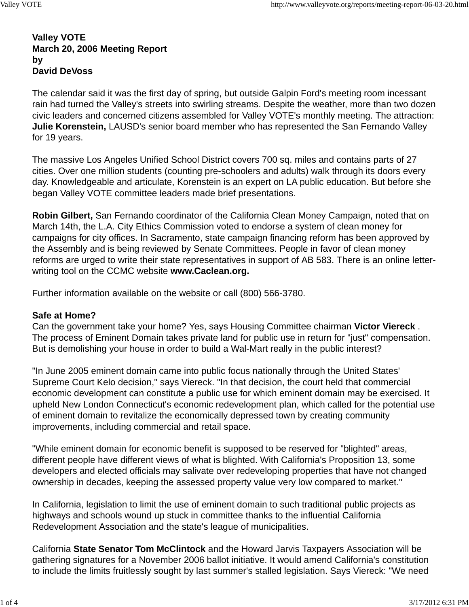### **Valley VOTE March 20, 2006 Meeting Report by David DeVoss**

The calendar said it was the first day of spring, but outside Galpin Ford's meeting room incessant rain had turned the Valley's streets into swirling streams. Despite the weather, more than two dozen civic leaders and concerned citizens assembled for Valley VOTE's monthly meeting. The attraction: **Julie Korenstein,** LAUSD's senior board member who has represented the San Fernando Valley for 19 years.

The massive Los Angeles Unified School District covers 700 sq. miles and contains parts of 27 cities. Over one million students (counting pre-schoolers and adults) walk through its doors every day. Knowledgeable and articulate, Korenstein is an expert on LA public education. But before she began Valley VOTE committee leaders made brief presentations.

**Robin Gilbert,** San Fernando coordinator of the California Clean Money Campaign, noted that on March 14th, the L.A. City Ethics Commission voted to endorse a system of clean money for campaigns for city offices. In Sacramento, state campaign financing reform has been approved by the Assembly and is being reviewed by Senate Committees. People in favor of clean money reforms are urged to write their state representatives in support of AB 583. There is an online letterwriting tool on the CCMC website **www.Caclean.org.**

Further information available on the website or call (800) 566-3780.

# **Safe at Home?**

Can the government take your home? Yes, says Housing Committee chairman **Victor Viereck** . The process of Eminent Domain takes private land for public use in return for "just" compensation. But is demolishing your house in order to build a Wal-Mart really in the public interest?

"In June 2005 eminent domain came into public focus nationally through the United States' Supreme Court Kelo decision," says Viereck. "In that decision, the court held that commercial economic development can constitute a public use for which eminent domain may be exercised. It upheld New London Connecticut's economic redevelopment plan, which called for the potential use of eminent domain to revitalize the economically depressed town by creating community improvements, including commercial and retail space.

"While eminent domain for economic benefit is supposed to be reserved for "blighted" areas, different people have different views of what is blighted. With California's Proposition 13, some developers and elected officials may salivate over redeveloping properties that have not changed ownership in decades, keeping the assessed property value very low compared to market."

In California, legislation to limit the use of eminent domain to such traditional public projects as highways and schools wound up stuck in committee thanks to the influential California Redevelopment Association and the state's league of municipalities.

California **State Senator Tom McClintock** and the Howard Jarvis Taxpayers Association will be gathering signatures for a November 2006 ballot initiative. It would amend California's constitution to include the limits fruitlessly sought by last summer's stalled legislation. Says Viereck: "We need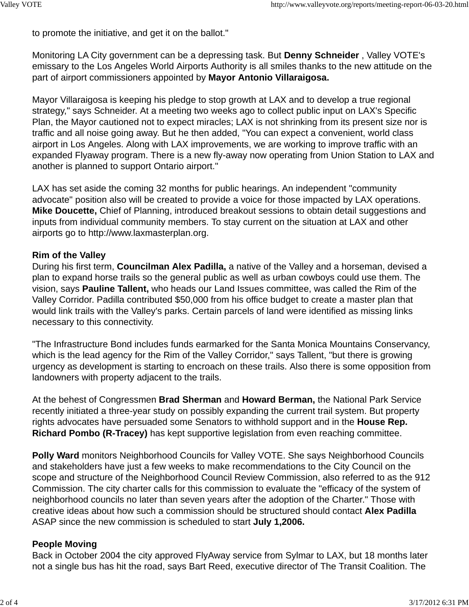to promote the initiative, and get it on the ballot."

Monitoring LA City government can be a depressing task. But **Denny Schneider** , Valley VOTE's emissary to the Los Angeles World Airports Authority is all smiles thanks to the new attitude on the part of airport commissioners appointed by **Mayor Antonio Villaraigosa.**

Mayor Villaraigosa is keeping his pledge to stop growth at LAX and to develop a true regional strategy," says Schneider. At a meeting two weeks ago to collect public input on LAX's Specific Plan, the Mayor cautioned not to expect miracles; LAX is not shrinking from its present size nor is traffic and all noise going away. But he then added, "You can expect a convenient, world class airport in Los Angeles. Along with LAX improvements, we are working to improve traffic with an expanded Flyaway program. There is a new fly-away now operating from Union Station to LAX and another is planned to support Ontario airport."

LAX has set aside the coming 32 months for public hearings. An independent "community advocate" position also will be created to provide a voice for those impacted by LAX operations. **Mike Doucette,** Chief of Planning, introduced breakout sessions to obtain detail suggestions and inputs from individual community members. To stay current on the situation at LAX and other airports go to http://www.laxmasterplan.org.

#### **Rim of the Valley**

During his first term, **Councilman Alex Padilla,** a native of the Valley and a horseman, devised a plan to expand horse trails so the general public as well as urban cowboys could use them. The vision, says **Pauline Tallent,** who heads our Land Issues committee, was called the Rim of the Valley Corridor. Padilla contributed \$50,000 from his office budget to create a master plan that would link trails with the Valley's parks. Certain parcels of land were identified as missing links necessary to this connectivity.

"The Infrastructure Bond includes funds earmarked for the Santa Monica Mountains Conservancy, which is the lead agency for the Rim of the Valley Corridor," says Tallent, "but there is growing urgency as development is starting to encroach on these trails. Also there is some opposition from landowners with property adjacent to the trails.

At the behest of Congressmen **Brad Sherman** and **Howard Berman,** the National Park Service recently initiated a three-year study on possibly expanding the current trail system. But property rights advocates have persuaded some Senators to withhold support and in the **House Rep. Richard Pombo (R-Tracey)** has kept supportive legislation from even reaching committee.

**Polly Ward** monitors Neighborhood Councils for Valley VOTE. She says Neighborhood Councils and stakeholders have just a few weeks to make recommendations to the City Council on the scope and structure of the Neighborhood Council Review Commission, also referred to as the 912 Commission. The city charter calls for this commission to evaluate the "efficacy of the system of neighborhood councils no later than seven years after the adoption of the Charter." Those with creative ideas about how such a commission should be structured should contact **Alex Padilla** ASAP since the new commission is scheduled to start **July 1,2006.**

### **People Moving**

Back in October 2004 the city approved FlyAway service from Sylmar to LAX, but 18 months later not a single bus has hit the road, says Bart Reed, executive director of The Transit Coalition. The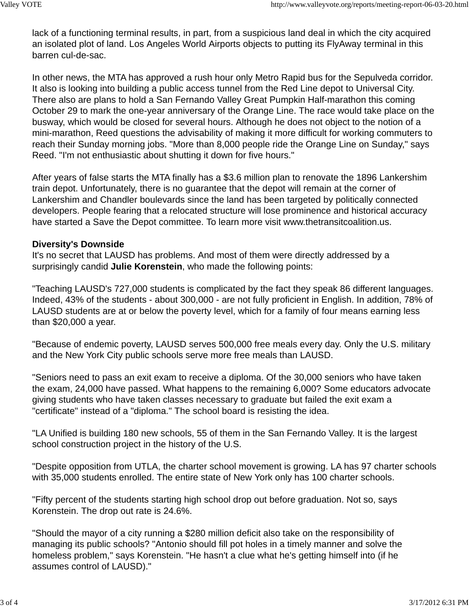lack of a functioning terminal results, in part, from a suspicious land deal in which the city acquired an isolated plot of land. Los Angeles World Airports objects to putting its FlyAway terminal in this barren cul-de-sac.

In other news, the MTA has approved a rush hour only Metro Rapid bus for the Sepulveda corridor. It also is looking into building a public access tunnel from the Red Line depot to Universal City. There also are plans to hold a San Fernando Valley Great Pumpkin Half-marathon this coming October 29 to mark the one-year anniversary of the Orange Line. The race would take place on the busway, which would be closed for several hours. Although he does not object to the notion of a mini-marathon, Reed questions the advisability of making it more difficult for working commuters to reach their Sunday morning jobs. "More than 8,000 people ride the Orange Line on Sunday," says Reed. "I'm not enthusiastic about shutting it down for five hours."

After years of false starts the MTA finally has a \$3.6 million plan to renovate the 1896 Lankershim train depot. Unfortunately, there is no guarantee that the depot will remain at the corner of Lankershim and Chandler boulevards since the land has been targeted by politically connected developers. People fearing that a relocated structure will lose prominence and historical accuracy have started a Save the Depot committee. To learn more visit www.thetransitcoalition.us.

# **Diversity's Downside**

It's no secret that LAUSD has problems. And most of them were directly addressed by a surprisingly candid **Julie Korenstein**, who made the following points:

"Teaching LAUSD's 727,000 students is complicated by the fact they speak 86 different languages. Indeed, 43% of the students - about 300,000 - are not fully proficient in English. In addition, 78% of LAUSD students are at or below the poverty level, which for a family of four means earning less than \$20,000 a year.

"Because of endemic poverty, LAUSD serves 500,000 free meals every day. Only the U.S. military and the New York City public schools serve more free meals than LAUSD.

"Seniors need to pass an exit exam to receive a diploma. Of the 30,000 seniors who have taken the exam, 24,000 have passed. What happens to the remaining 6,000? Some educators advocate giving students who have taken classes necessary to graduate but failed the exit exam a "certificate" instead of a "diploma." The school board is resisting the idea.

"LA Unified is building 180 new schools, 55 of them in the San Fernando Valley. It is the largest school construction project in the history of the U.S.

"Despite opposition from UTLA, the charter school movement is growing. LA has 97 charter schools with 35,000 students enrolled. The entire state of New York only has 100 charter schools.

"Fifty percent of the students starting high school drop out before graduation. Not so, says Korenstein. The drop out rate is 24.6%.

"Should the mayor of a city running a \$280 million deficit also take on the responsibility of managing its public schools? "Antonio should fill pot holes in a timely manner and solve the homeless problem," says Korenstein. "He hasn't a clue what he's getting himself into (if he assumes control of LAUSD)."